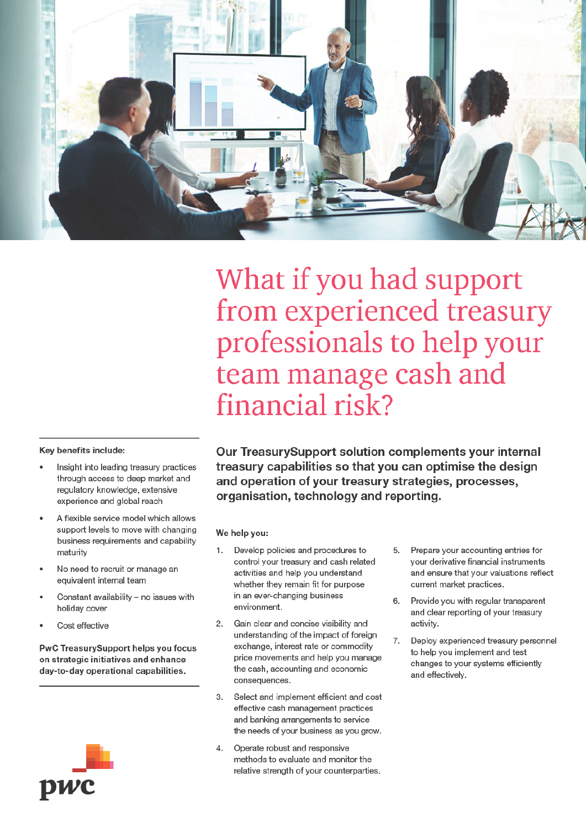

What if you had support from experienced treasury professionals to help your team manage cash and financial risk?

# Kev benefits include:

- Insight into leading treasury practices through access to deep market and regulatory knowledge, extensive experience and global reach
- A flexible service model which allows support levels to move with changing business requirements and capability maturity
- No need to recruit or manage an equivalent internal team
- Constant availability no issues with holiday cover
- Cost effective

PwC TreasurySupport helps you focus on strategic initiatives and enhance day-to-day operational capabilities.



Our TreasurySupport solution complements your internal treasury capabilities so that you can optimise the design and operation of your treasury strategies, processes, organisation, technology and reporting.

## We help you:

- Develop policies and procedures to  $\mathbf{1}$ control your treasury and cash related activities and help you understand whether they remain fit for purpose in an ever-changing business environment.
- $2.$ Gain clear and concise visibility and understanding of the impact of foreign exchange, interest rate or commodity price movements and help you manage the cash, accounting and economic consequences.
- 3. Select and implement efficient and cost effective cash management practices and banking arrangements to service the needs of your business as you grow.
- $\overline{4}$ . Operate robust and responsive methods to evaluate and monitor the relative strength of your counterparties.
- Prepare your accounting entries for 5. vour derivative financial instruments and ensure that your valuations reflect current market practices.
- Provide you with regular transparent 6. and clear reporting of your treasury activity.
- Deploy experienced treasury personnel 7. to help you implement and test changes to your systems efficiently and effectively.